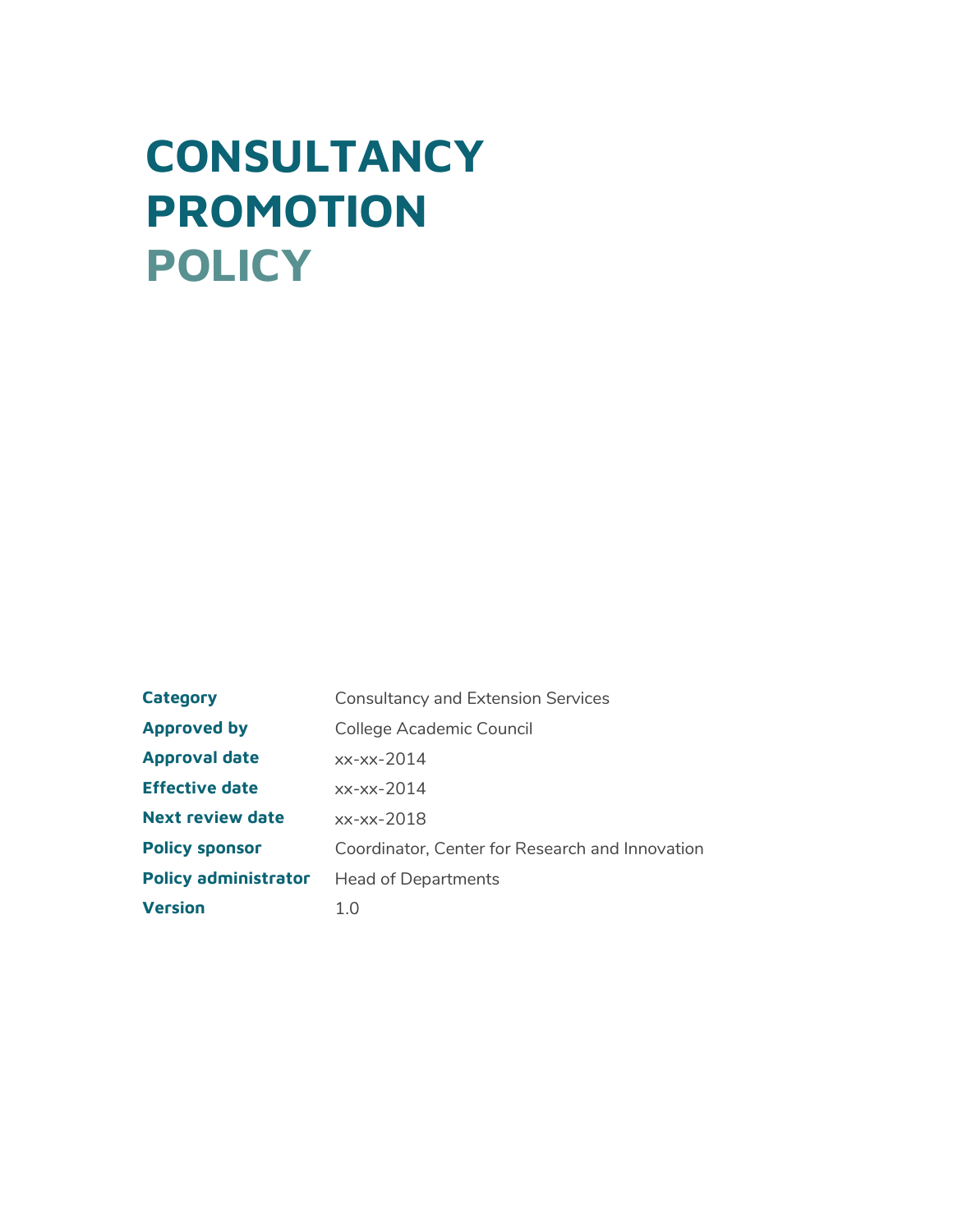# **CONSULTANCY PROMOTION POLICY**

**Category Consultancy and Extension Services Approved by** College Academic Council **Approval date Effective date Next review date Policy sponsor** Coordinator, Center for Research and Innovation **Policy administrator** Head of Departments **Version** 1.0 -xx-2014 -xx-2014 -xx-2018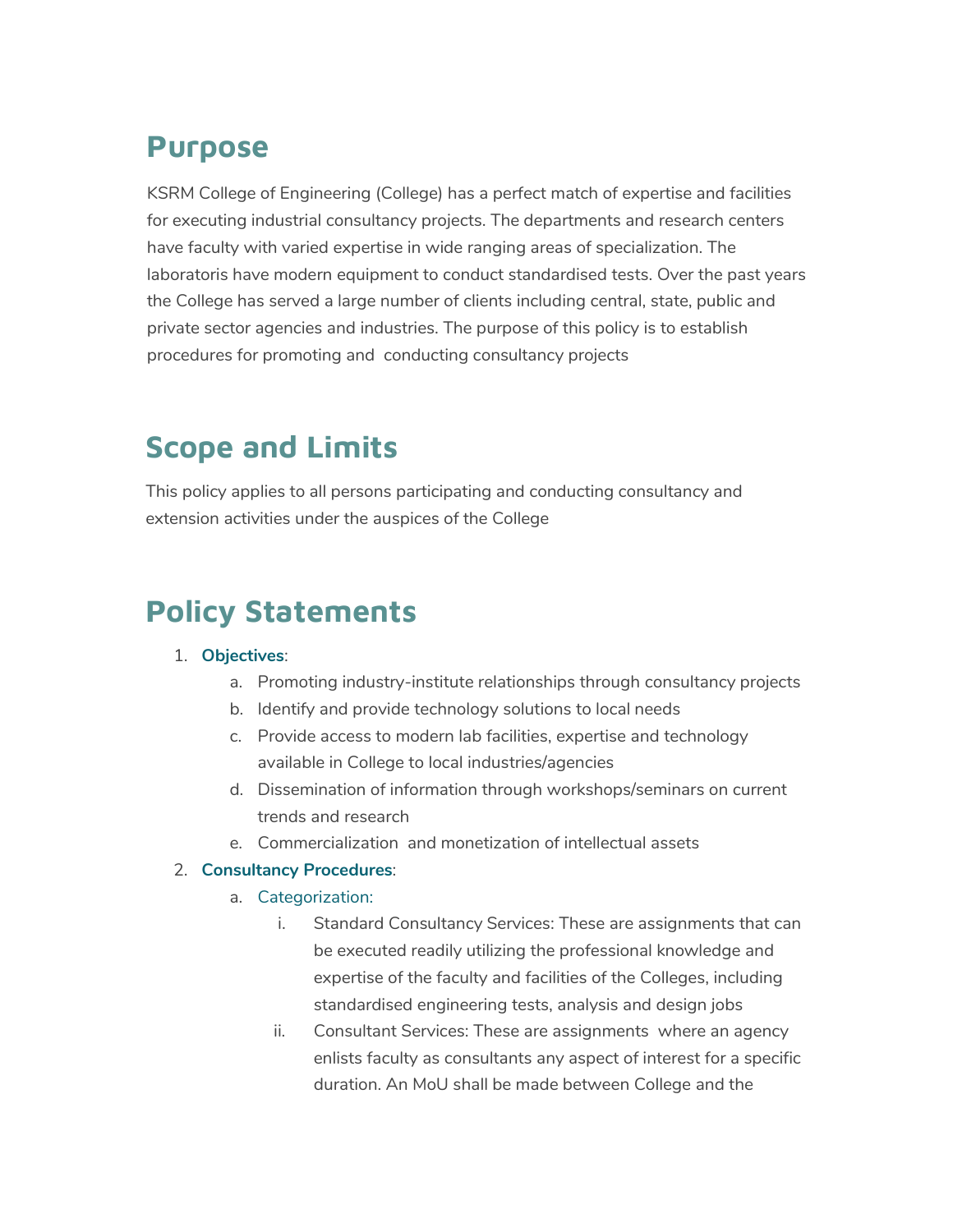### **Purpose**

KSRM College of Engineering (College) has a perfect match of expertise and facilities for executing industrial consultancy projects. The departments and research centers have faculty with varied expertise in wide ranging areas of specialization. The laboratoris have modern equipment to conduct standardised tests. Over the past years the College has served a large number of clients including central, state, public and private sector agencies and industries. The purpose of this policy is to establish procedures for promoting and conducting consultancy projects

### **Scope and Limits**

This policy applies to all persons participating and conducting consultancy and extension activities under the auspices of the College

## **Policy Statements**

#### 1. **Objectives**:

- a. Promoting industry-institute relationships through consultancy projects
- b. Identify and provide technology solutions to local needs
- c. Provide access to modern lab facilities, expertise and technology available in College to local industries/agencies
- d. Dissemination of information through workshops/seminars on current trends and research
- e. Commercialization and monetization of intellectual assets

#### 2. **Consultancy Procedures**:

#### a. Categorization:

- i. Standard Consultancy Services: These are assignments that can be executed readily utilizing the professional knowledge and expertise of the faculty and facilities of the Colleges, including standardised engineering tests, analysis and design jobs
- ii. Consultant Services: These are assignments where an agency enlists faculty as consultants any aspect of interest for a specific duration. An MoU shall be made between College and the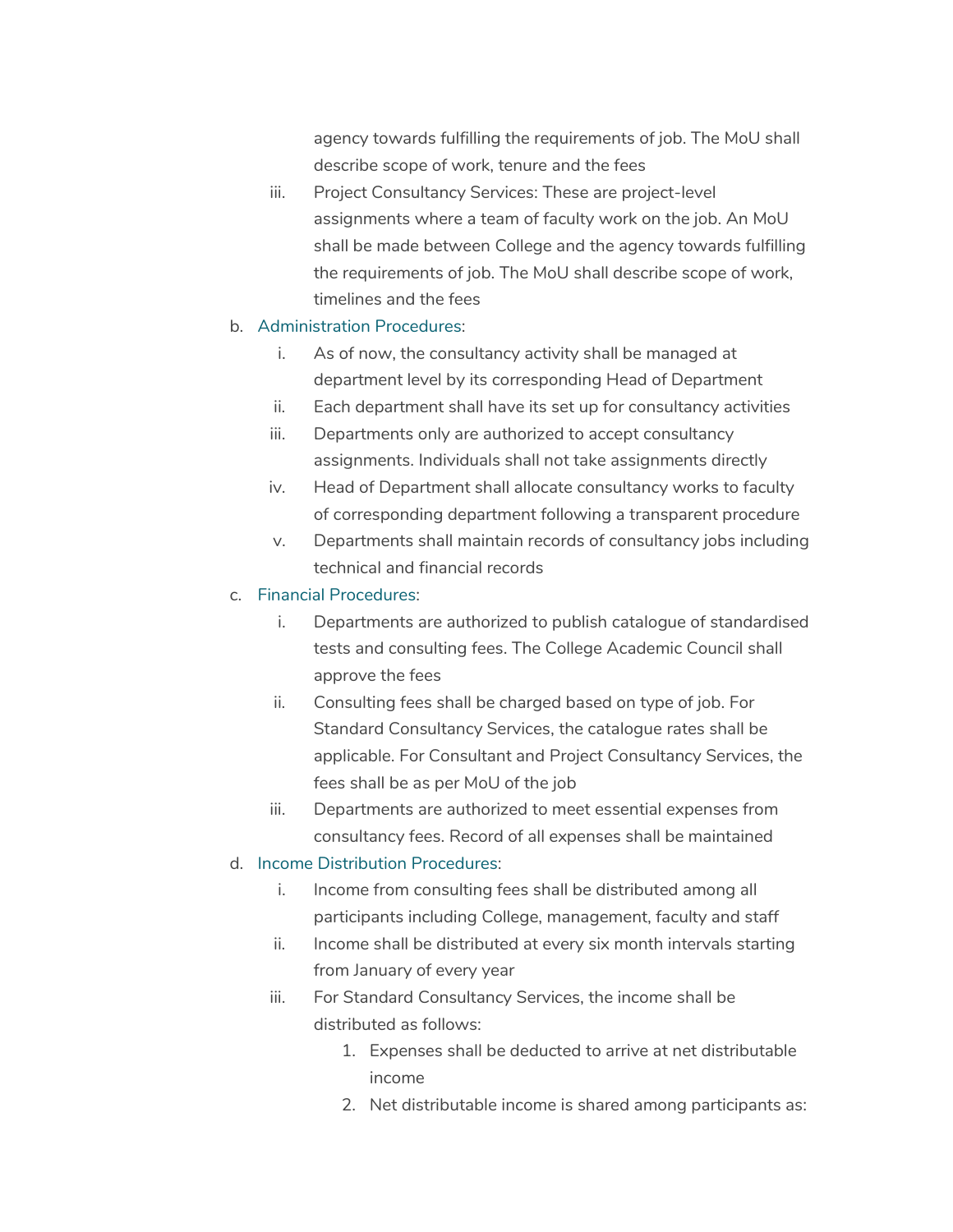agency towards fulfilling the requirements of job. The MoU shall describe scope of work, tenure and the fees

iii. Project Consultancy Services: These are project-level assignments where a team of faculty work on the job. An MoU shall be made between College and the agency towards fulfilling the requirements of job. The MoU shall describe scope of work, timelines and the fees

#### b. Administration Procedures:

- i. As of now, the consultancy activity shall be managed at department level by its corresponding Head of Department
- ii. Each department shall have its set up for consultancy activities
- iii. Departments only are authorized to accept consultancy assignments. Individuals shall not take assignments directly
- iv. Head of Department shall allocate consultancy works to faculty of corresponding department following a transparent procedure
- v. Departments shall maintain records of consultancy jobs including technical and financial records
- c. Financial Procedures:
	- i. Departments are authorized to publish catalogue of standardised tests and consulting fees. The College Academic Council shall approve the fees
	- ii. Consulting fees shall be charged based on type of job. For Standard Consultancy Services, the catalogue rates shall be applicable. For Consultant and Project Consultancy Services, the fees shall be as per MoU of the job
	- iii. Departments are authorized to meet essential expenses from consultancy fees. Record of all expenses shall be maintained

#### d. Income Distribution Procedures:

- i. Income from consulting fees shall be distributed among all participants including College, management, faculty and staff
- ii. Income shall be distributed at every six month intervals starting from January of every year
- iii. For Standard Consultancy Services, the income shall be distributed as follows:
	- 1. Expenses shall be deducted to arrive at net distributable income
	- 2. Net distributable income is shared among participants as: